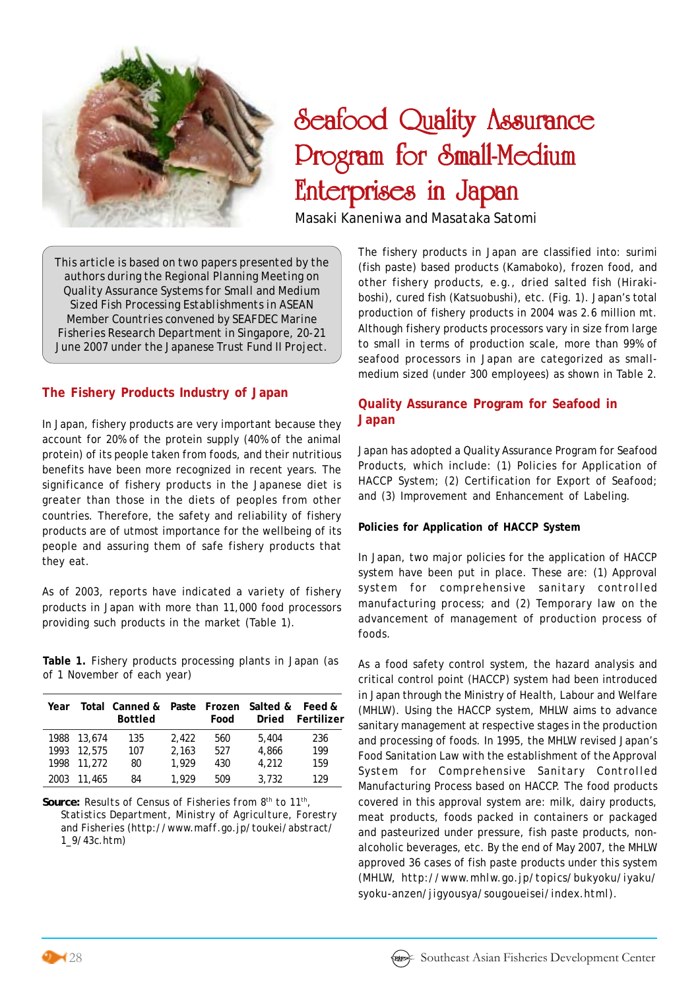

# Seafood Quality Assurance Program for Small-Medium Enterprises in Japan Enterprises in Japan

*Masaki Kaneniwa* and *Masataka Satomi*

*This article is based on two papers presented by the authors during the Regional Planning Meeting on Quality Assurance Systems for Small and Medium Sized Fish Processing Establishments in ASEAN Member Countries convened by SEAFDEC Marine Fisheries Research Department in Singapore, 20-21 June 2007 under the Japanese Trust Fund II Project.*

## **The Fishery Products Industry of Japan**

In Japan, fishery products are very important because they account for 20% of the protein supply (40% of the animal protein) of its people taken from foods, and their nutritious benefits have been more recognized in recent years. The significance of fishery products in the Japanese diet is greater than those in the diets of peoples from other countries. Therefore, the safety and reliability of fishery products are of utmost importance for the wellbeing of its people and assuring them of safe fishery products that they eat.

As of 2003, reports have indicated a variety of fishery products in Japan with more than 11,000 food processors providing such products in the market (Table 1).

**Table 1.** Fishery products processing plants in Japan (as of 1 November of each year)

| Year |             | Total Canned &<br><b>Bottled</b> |       | Food | Paste Frozen Salted &<br>Dried | Feed &<br>Fertilizer |
|------|-------------|----------------------------------|-------|------|--------------------------------|----------------------|
|      | 1988 13,674 | 135                              | 2.422 | 560  | 5.404                          | 236                  |
| 1993 | 12,575      | 107                              | 2.163 | 527  | 4.866                          | 199                  |
|      | 1998 11,272 | 80                               | 1,929 | 430  | 4,212                          | 159                  |
| 2003 | 11,465      | 84                               | 1.929 | 509  | 3.732                          | 129                  |

*Source: Results of Census of Fisheries from 8th to 11th, Statistics Department, Ministry of Agriculture, Forestry and Fisheries (http://www.maff.go.jp/toukei/abstract/ 1\_9/43c.htm)*

The fishery products in Japan are classified into: surimi (fish paste) based products (Kamaboko), frozen food, and other fishery products, e.g., dried salted fish (Hirakiboshi), cured fish (Katsuobushi), etc. (Fig. 1). Japan's total production of fishery products in 2004 was 2.6 million mt. Although fishery products processors vary in size from large to small in terms of production scale, more than 99% of seafood processors in Japan are categorized as smallmedium sized (under 300 employees) as shown in Table 2.

# **Quality Assurance Program for Seafood in Japan**

Japan has adopted a Quality Assurance Program for Seafood Products, which include: (1) Policies for Application of HACCP System; (2) Certification for Export of Seafood; and (3) Improvement and Enhancement of Labeling.

## **Policies for Application of HACCP System**

In Japan, two major policies for the application of HACCP system have been put in place. These are: (1) Approval system for comprehensive sanitary controlled manufacturing process; and (2) Temporary law on the advancement of management of production process of foods.

As a food safety control system, the hazard analysis and critical control point (HACCP) system had been introduced in Japan through the Ministry of Health, Labour and Welfare (MHLW). Using the HACCP system, MHLW aims to advance sanitary management at respective stages in the production and processing of foods. In 1995, the MHLW revised Japan's Food Sanitation Law with the establishment of the Approval System for Comprehensive Sanitary Controlled Manufacturing Process based on HACCP. The food products covered in this approval system are: milk, dairy products, meat products, foods packed in containers or packaged and pasteurized under pressure, fish paste products, nonalcoholic beverages, etc. By the end of May 2007, the MHLW approved 36 cases of fish paste products under this system (MHLW, *http://www.mhlw.go.jp/topics/bukyoku/iyaku/ syoku-anzen/jigyousya/sougoueisei/index.html*).

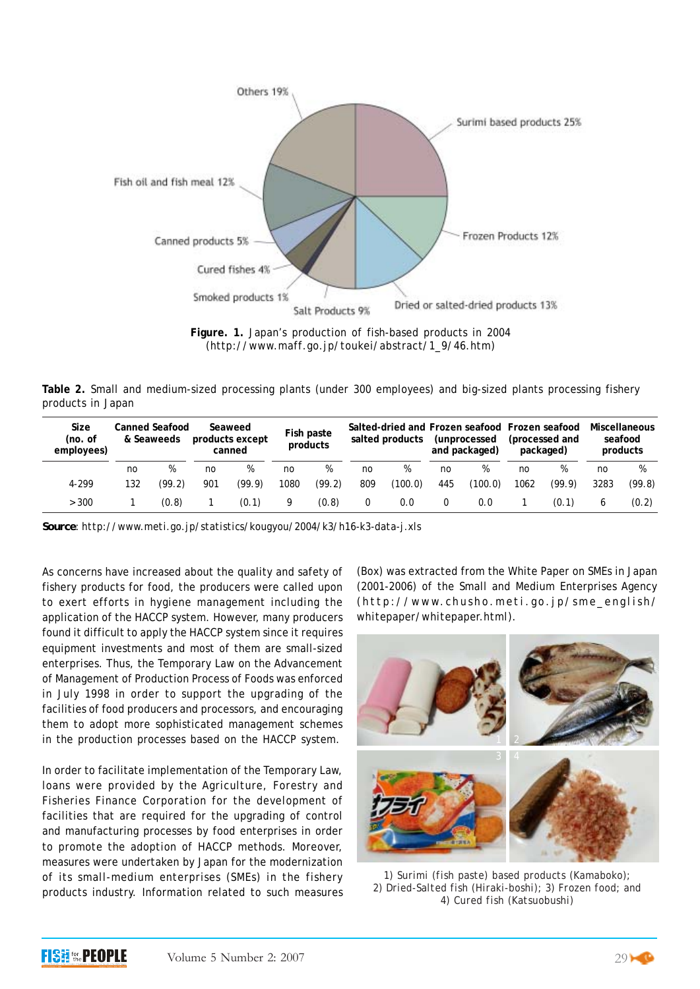

**Figure. 1.** Japan's production of fish-based products in 2004 (http://www.maff.go.jp/toukei/abstract/1\_9/46.htm)

**Table 2.** Small and medium-sized processing plants (under 300 employees) and big-sized plants processing fishery products in Japan

| Size<br>(no. of<br>employees) | <b>Canned Seafood</b><br>& Seaweeds |        | Seaweed<br>products except<br>canned |        | Fish paste<br>products |        | Salted-dried and Frozen seafood Frozen seafood<br>salted products |         | (unprocessed)<br>and packaged) |         | (processed and<br>packaged) |        | Miscellaneous<br>seafood<br>products |        |
|-------------------------------|-------------------------------------|--------|--------------------------------------|--------|------------------------|--------|-------------------------------------------------------------------|---------|--------------------------------|---------|-----------------------------|--------|--------------------------------------|--------|
|                               | no                                  | %      | no                                   | %      | no                     | %      | no                                                                | %       | no                             | %       | no                          | %      | no                                   | %      |
| 4-299                         | 132                                 | (99.2) | 901                                  | (99.9) | 1080                   | (99.2) | 809                                                               | (100.0) | 445                            | (100.0) | 1062                        | (99.9) | 3283                                 | (99.8) |
| > 300                         |                                     | (0.8)  |                                      | (0.1)  | 9                      | (0.8)  |                                                                   | 0.0     |                                | 0.0     |                             | (0.1)  | 6                                    | (0.2)  |

*Source: http://www.meti.go.jp/statistics/kougyou/2004/k3/h16-k3-data-j.xls*

As concerns have increased about the quality and safety of fishery products for food, the producers were called upon to exert efforts in hygiene management including the application of the HACCP system. However, many producers found it difficult to apply the HACCP system since it requires equipment investments and most of them are small-sized enterprises. Thus, the Temporary Law on the Advancement of Management of Production Process of Foods was enforced in July 1998 in order to support the upgrading of the facilities of food producers and processors, and encouraging them to adopt more sophisticated management schemes in the production processes based on the HACCP system.

In order to facilitate implementation of the Temporary Law, loans were provided by the Agriculture, Forestry and Fisheries Finance Corporation for the development of facilities that are required for the upgrading of control and manufacturing processes by food enterprises in order to promote the adoption of HACCP methods. Moreover, measures were undertaken by Japan for the modernization of its small-medium enterprises (SMEs) in the fishery products industry. Information related to such measures (Box) was extracted from the White Paper on SMEs in Japan (2001-2006) of the Small and Medium Enterprises Agency ( *http://www.chusho.meti.go.jp/sme\_english/ whitepaper/whitepaper.html*).



*1) Surimi (fish paste) based products (Kamaboko); 2) Dried-Salted fish (Hiraki-boshi); 3) Frozen food; and 4) Cured fish (Katsuobushi)*

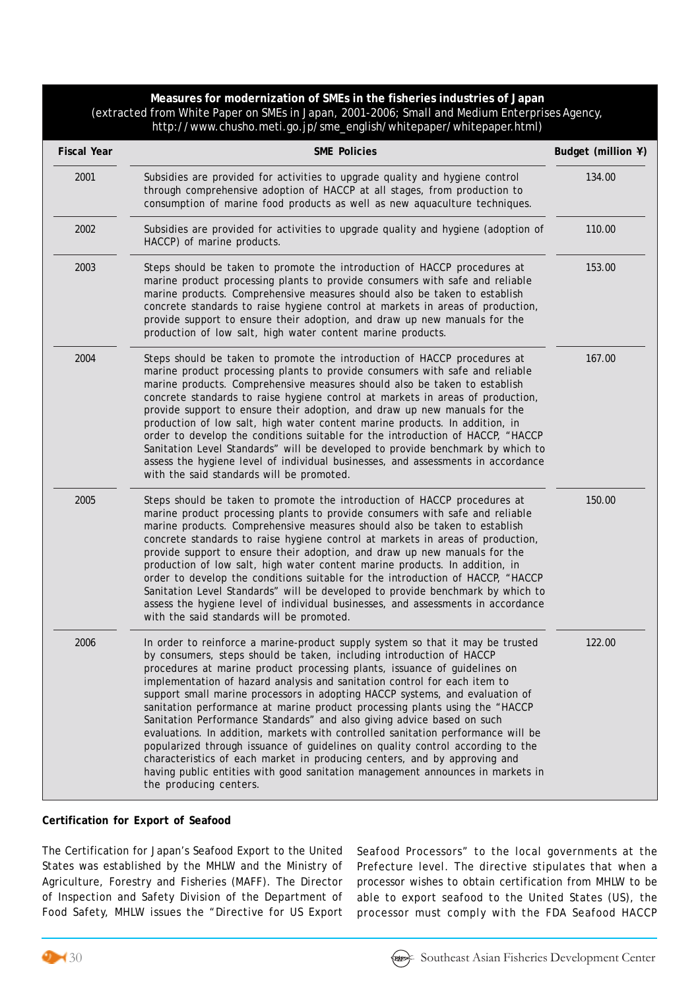**Measures for modernization of SMEs in the fisheries industries of Japan** (extracted from White Paper on SMEs in Japan, 2001-2006; Small and Medium Enterprises Agency, http://www.chusho.meti.go.jp/sme\_english/whitepaper/whitepaper.html)

| <b>Fiscal Year</b> | <b>SME Policies</b>                                                                                                                                                                                                                                                                                                                                                                                                                                                                                                                                                                                                                                                                                                                                                                                                                                                                                                      | Budget (million ¥) |
|--------------------|--------------------------------------------------------------------------------------------------------------------------------------------------------------------------------------------------------------------------------------------------------------------------------------------------------------------------------------------------------------------------------------------------------------------------------------------------------------------------------------------------------------------------------------------------------------------------------------------------------------------------------------------------------------------------------------------------------------------------------------------------------------------------------------------------------------------------------------------------------------------------------------------------------------------------|--------------------|
| 2001               | Subsidies are provided for activities to upgrade quality and hygiene control<br>through comprehensive adoption of HACCP at all stages, from production to<br>consumption of marine food products as well as new aquaculture techniques.                                                                                                                                                                                                                                                                                                                                                                                                                                                                                                                                                                                                                                                                                  | 134.00             |
| 2002               | Subsidies are provided for activities to upgrade quality and hygiene (adoption of<br>HACCP) of marine products.                                                                                                                                                                                                                                                                                                                                                                                                                                                                                                                                                                                                                                                                                                                                                                                                          | 110.00             |
| 2003               | Steps should be taken to promote the introduction of HACCP procedures at<br>marine product processing plants to provide consumers with safe and reliable<br>marine products. Comprehensive measures should also be taken to establish<br>concrete standards to raise hygiene control at markets in areas of production,<br>provide support to ensure their adoption, and draw up new manuals for the<br>production of low salt, high water content marine products.                                                                                                                                                                                                                                                                                                                                                                                                                                                      | 153.00             |
| 2004               | Steps should be taken to promote the introduction of HACCP procedures at<br>marine product processing plants to provide consumers with safe and reliable<br>marine products. Comprehensive measures should also be taken to establish<br>concrete standards to raise hygiene control at markets in areas of production,<br>provide support to ensure their adoption, and draw up new manuals for the<br>production of low salt, high water content marine products. In addition, in<br>order to develop the conditions suitable for the introduction of HACCP, "HACCP<br>Sanitation Level Standards" will be developed to provide benchmark by which to<br>assess the hygiene level of individual businesses, and assessments in accordance<br>with the said standards will be promoted.                                                                                                                                 | 167.00             |
| 2005               | Steps should be taken to promote the introduction of HACCP procedures at<br>marine product processing plants to provide consumers with safe and reliable<br>marine products. Comprehensive measures should also be taken to establish<br>concrete standards to raise hygiene control at markets in areas of production,<br>provide support to ensure their adoption, and draw up new manuals for the<br>production of low salt, high water content marine products. In addition, in<br>order to develop the conditions suitable for the introduction of HACCP, "HACCP<br>Sanitation Level Standards" will be developed to provide benchmark by which to<br>assess the hygiene level of individual businesses, and assessments in accordance<br>with the said standards will be promoted.                                                                                                                                 | 150.00             |
| 2006               | In order to reinforce a marine-product supply system so that it may be trusted<br>by consumers, steps should be taken, including introduction of HACCP<br>procedures at marine product processing plants, issuance of guidelines on<br>implementation of hazard analysis and sanitation control for each item to<br>support small marine processors in adopting HACCP systems, and evaluation of<br>sanitation performance at marine product processing plants using the "HACCP<br>Sanitation Performance Standards" and also giving advice based on such<br>evaluations. In addition, markets with controlled sanitation performance will be<br>popularized through issuance of guidelines on quality control according to the<br>characteristics of each market in producing centers, and by approving and<br>having public entities with good sanitation management announces in markets in<br>the producing centers. | 122.00             |

#### **Certification for Export of Seafood**

The Certification for Japan's Seafood Export to the United States was established by the MHLW and the Ministry of Agriculture, Forestry and Fisheries (MAFF). The Director of Inspection and Safety Division of the Department of Food Safety, MHLW issues the "Directive for US Export Seafood Processors" to the local governments at the Prefecture level. The directive stipulates that when a processor wishes to obtain certification from MHLW to be able to export seafood to the United States (US), the processor must comply with the FDA Seafood HACCP



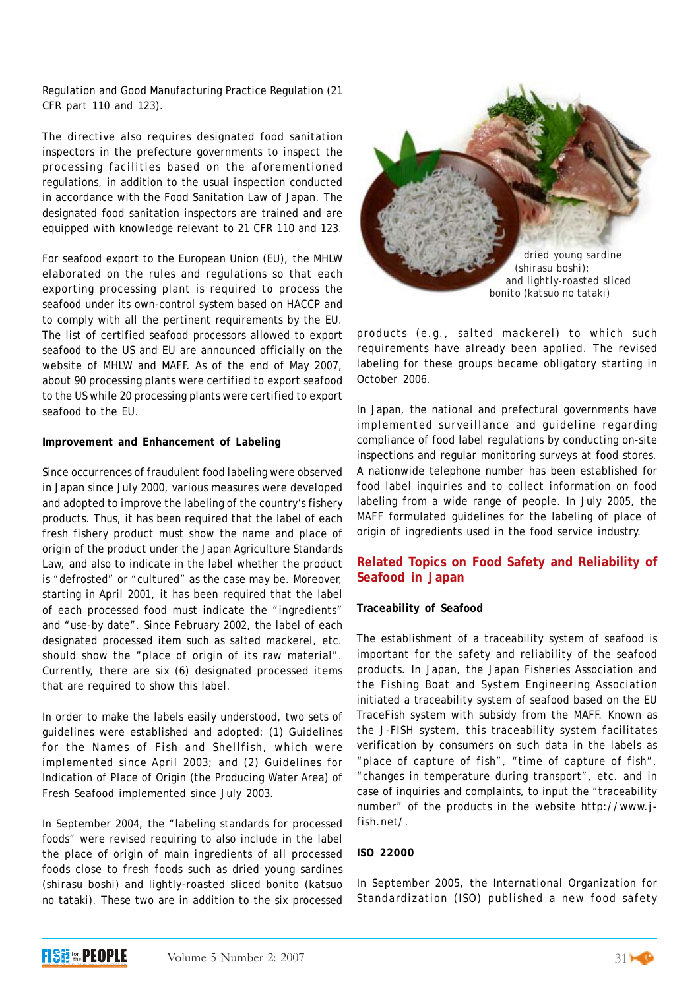Regulation and Good Manufacturing Practice Regulation (21 CFR part 110 and 123).

The directive also requires designated food sanitation inspectors in the prefecture governments to inspect the processing facilities based on the aforementioned regulations, in addition to the usual inspection conducted in accordance with the Food Sanitation Law of Japan. The designated food sanitation inspectors are trained and are equipped with knowledge relevant to 21 CFR 110 and 123.

For seafood export to the European Union (EU), the MHLW elaborated on the rules and regulations so that each exporting processing plant is required to process the seafood under its own-control system based on HACCP and to comply with all the pertinent requirements by the EU. The list of certified seafood processors allowed to export seafood to the US and EU are announced officially on the website of MHLW and MAFF. As of the end of May 2007, about 90 processing plants were certified to export seafood to the US while 20 processing plants were certified to export seafood to the EU.

## **Improvement and Enhancement of Labeling**

Since occurrences of fraudulent food labeling were observed in Japan since July 2000, various measures were developed and adopted to improve the labeling of the country's fishery products. Thus, it has been required that the label of each fresh fishery product must show the name and place of origin of the product under the Japan Agriculture Standards Law, and also to indicate in the label whether the product is "defrosted" or "cultured" as the case may be. Moreover, starting in April 2001, it has been required that the label of each processed food must indicate the "ingredients" and "use-by date". Since February 2002, the label of each designated processed item such as salted mackerel, etc. should show the "place of origin of its raw material". Currently, there are six (6) designated processed items that are required to show this label.

In order to make the labels easily understood, two sets of guidelines were established and adopted: (1) Guidelines for the Names of Fish and Shellfish, which were implemented since April 2003; and (2) Guidelines for Indication of Place of Origin (the Producing Water Area) of Fresh Seafood implemented since July 2003.

In September 2004, the "labeling standards for processed foods" were revised requiring to also include in the label the place of origin of main ingredients of all processed foods close to fresh foods such as dried young sardines (shirasu boshi) and lightly-roasted sliced bonito (katsuo no tataki). These two are in addition to the six processed



products (e.g., salted mackerel) to which such requirements have already been applied. The revised labeling for these groups became obligatory starting in October 2006.

In Japan, the national and prefectural governments have implemented surveillance and guideline regarding compliance of food label regulations by conducting on-site inspections and regular monitoring surveys at food stores. A nationwide telephone number has been established for food label inquiries and to collect information on food labeling from a wide range of people. In July 2005, the MAFF formulated guidelines for the labeling of place of origin of ingredients used in the food service industry.

## **Related Topics on Food Safety and Reliability of Seafood in Japan**

## **Traceability of Seafood**

The establishment of a traceability system of seafood is important for the safety and reliability of the seafood products. In Japan, the Japan Fisheries Association and the Fishing Boat and System Engineering Association initiated a traceability system of seafood based on the EU TraceFish system with subsidy from the MAFF. Known as the J-FISH system, this traceability system facilitates verification by consumers on such data in the labels as "place of capture of fish", "time of capture of fish", "changes in temperature during transport", etc. and in case of inquiries and complaints, to input the "traceability number" of the products in the website http://www.jfish.net/.

## **ISO 22000**

In September 2005, the International Organization for Standardization (ISO) published a new food safety